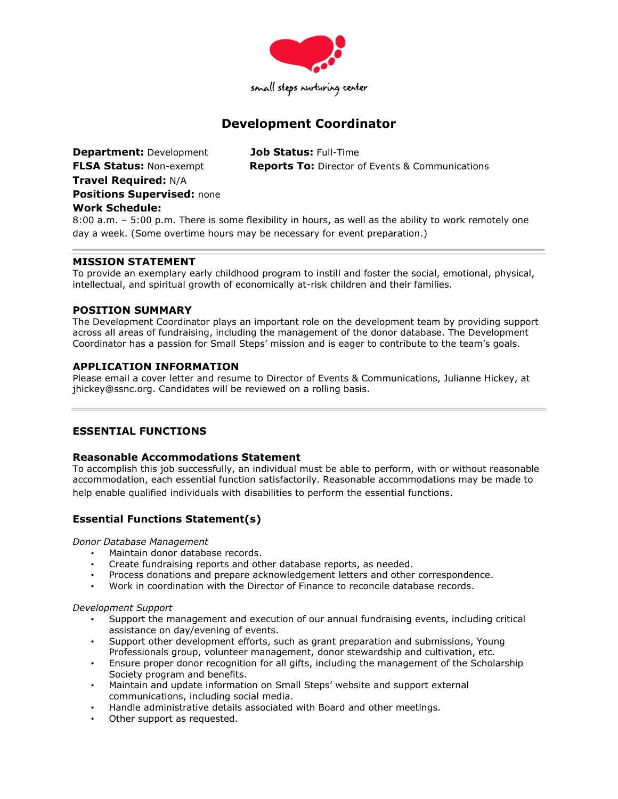

# **Development Coordinator**

**Department:** Development **Job Status:** Full-Time **Travel Required:** N/A **Positions Supervised:** none **Work Schedule:** 

**FLSA Status:** Non-exempt **Reports To:** Director of Events & Communications

8:00 a.m. – 5:00 p.m. There is some flexibility in hours, as well as the ability to work remotely one day a week. (Some overtime hours may be necessary for event preparation.)

## **MISSION STATEMENT**

To provide an exemplary early childhood program to instill and foster the social, emotional, physical, intellectual, and spiritual growth of economically at-risk children and their families.

## **POSITION SUMMARY**

The Development Coordinator plays an important role on the development team by providing support across all areas of fundraising, including the management of the donor database. The Development Coordinator has a passion for Small Steps' mission and is eager to contribute to the team's goals.

## **APPLICATION INFORMATION**

Please email a cover letter and resume to Director of Events & Communications, Julianne Hickey, at jhickey@ssnc.org. Candidates will be reviewed on a rolling basis.

# **ESSENTIAL FUNCTIONS**

# **Reasonable Accommodations Statement**

To accomplish this job successfully, an individual must be able to perform, with or without reasonable accommodation, each essential function satisfactorily. Reasonable accommodations may be made to help enable qualified individuals with disabilities to perform the essential functions.

# **Essential Functions Statement(s)**

*Donor Database Management*

- Maintain donor database records.
- Create fundraising reports and other database reports, as needed.
- Process donations and prepare acknowledgement letters and other correspondence.
- Work in coordination with the Director of Finance to reconcile database records.

## *Development Support*

- Support the management and execution of our annual fundraising events, including critical assistance on day/evening of events.
- Support other development efforts, such as grant preparation and submissions, Young Professionals group, volunteer management, donor stewardship and cultivation, etc.
- Ensure proper donor recognition for all gifts, including the management of the Scholarship Society program and benefits.
- Maintain and update information on Small Steps' website and support external communications, including social media.
- Handle administrative details associated with Board and other meetings.
- Other support as requested.